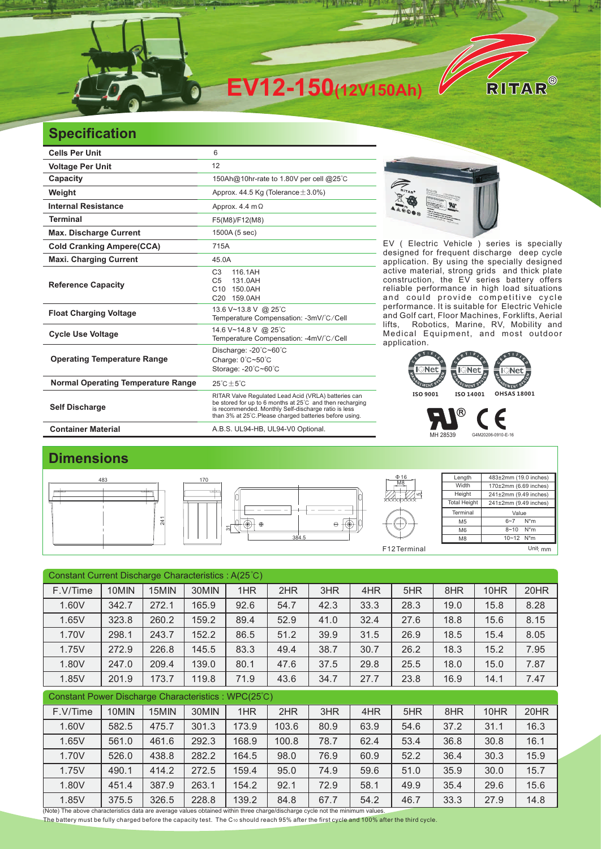

## **Specification**

| <b>Cells Per Unit</b>                     | 6                                                                                                                                                                                                                                   |  |  |  |  |  |
|-------------------------------------------|-------------------------------------------------------------------------------------------------------------------------------------------------------------------------------------------------------------------------------------|--|--|--|--|--|
| <b>Voltage Per Unit</b>                   | 12                                                                                                                                                                                                                                  |  |  |  |  |  |
| Capacity                                  | 150Ah@10hr-rate to 1.80V per cell @25°C                                                                                                                                                                                             |  |  |  |  |  |
| Weight                                    | Approx. 44.5 Kg (Tolerance $\pm$ 3.0%)                                                                                                                                                                                              |  |  |  |  |  |
| <b>Internal Resistance</b>                | Approx. 4.4 $m\Omega$                                                                                                                                                                                                               |  |  |  |  |  |
| <b>Terminal</b>                           | F5(M8)/F12(M8)                                                                                                                                                                                                                      |  |  |  |  |  |
| <b>Max. Discharge Current</b>             | 1500A (5 sec)                                                                                                                                                                                                                       |  |  |  |  |  |
| <b>Cold Cranking Ampere(CCA)</b>          | 715A                                                                                                                                                                                                                                |  |  |  |  |  |
| <b>Maxi. Charging Current</b>             | 45.0A                                                                                                                                                                                                                               |  |  |  |  |  |
| <b>Reference Capacity</b>                 | 116.1AH<br>C <sub>3</sub><br>C <sub>5</sub><br>131.0AH<br>150.0AH<br>C <sub>10</sub><br>C <sub>20</sub><br>159.0AH                                                                                                                  |  |  |  |  |  |
| <b>Float Charging Voltage</b>             | 13.6 V~13.8 V @ 25°C<br>Temperature Compensation: -3mV/°C/Cell                                                                                                                                                                      |  |  |  |  |  |
| <b>Cycle Use Voltage</b>                  | 14.6 V~14.8 V @ 25°C<br>Temperature Compensation: -4mV/°C/Cell                                                                                                                                                                      |  |  |  |  |  |
| <b>Operating Temperature Range</b>        | Discharge: -20°C~60°C<br>Charge: 0°C~50°C<br>Storage: -20°C~60°C                                                                                                                                                                    |  |  |  |  |  |
| <b>Normal Operating Temperature Range</b> | $25^{\circ}$ C + 5 $^{\circ}$ C                                                                                                                                                                                                     |  |  |  |  |  |
| <b>Self Discharge</b>                     | RITAR Valve Regulated Lead Acid (VRLA) batteries can<br>be stored for up to 6 months at 25°C and then recharging<br>is recommended. Monthly Self-discharge ratio is less<br>than 3% at 25°C. Please charged batteries before using. |  |  |  |  |  |
| <b>Container Material</b>                 | A.B.S. UL94-HB, UL94-V0 Optional.                                                                                                                                                                                                   |  |  |  |  |  |



EV ( Electric Vehicle ) series is specially designed for frequent discharge deep cycle application. By using the specially designed active material, strong grids and thick plate construction, the EV series battery offers reliable performance in high load situations and could provide competitive cycle performance. It is suitable for Electric Vehicle and Golf cart, Floor Machines, Forklifts, Aerial<br>lifts, Robotics, Marine, RV, Mobility and Robotics, Marine, RV, Mobility and Medical Equipment, and most outdoor application.



MH 28539 G4M20206-0910-E-16

### **Dimensions**



| Constant Current Discharge Characteristics: A(25°C) |       |       |       |       |       |      |      |      |      |      |      |
|-----------------------------------------------------|-------|-------|-------|-------|-------|------|------|------|------|------|------|
| F.V/Time                                            | 10MIN | 15MIN | 30MIN | 1HR   | 2HR   | 3HR  | 4HR  | 5HR  | 8HR  | 10HR | 20HR |
| 1.60V                                               | 342.7 | 272.1 | 165.9 | 92.6  | 54.7  | 42.3 | 33.3 | 28.3 | 19.0 | 15.8 | 8.28 |
| 1.65V                                               | 323.8 | 260.2 | 159.2 | 89.4  | 52.9  | 41.0 | 32.4 | 27.6 | 18.8 | 15.6 | 8.15 |
| 1.70V                                               | 298.1 | 243.7 | 152.2 | 86.5  | 51.2  | 39.9 | 31.5 | 26.9 | 18.5 | 15.4 | 8.05 |
| 1.75V                                               | 272.9 | 226.8 | 145.5 | 83.3  | 49.4  | 38.7 | 30.7 | 26.2 | 18.3 | 15.2 | 7.95 |
| 1.80V                                               | 247.0 | 209.4 | 139.0 | 80.1  | 47.6  | 37.5 | 29.8 | 25.5 | 18.0 | 15.0 | 7.87 |
| 1.85V                                               | 201.9 | 173.7 | 119.8 | 71.9  | 43.6  | 34.7 | 27.7 | 23.8 | 16.9 | 14.1 | 7.47 |
| Constant Power Discharge Characteristics: WPC(25°C) |       |       |       |       |       |      |      |      |      |      |      |
| F.V/Time                                            | 10MIN | 15MIN | 30MIN | 1HR   | 2HR   | 3HR  | 4HR  | 5HR  | 8HR  | 10HR | 20HR |
| 1.60V                                               | 582.5 | 475.7 | 301.3 | 173.9 | 103.6 | 80.9 | 63.9 | 54.6 | 37.2 | 31.1 | 16.3 |
| 1.65V                                               | 561.0 | 461.6 | 292.3 | 168.9 | 100.8 | 78.7 | 62.4 | 53.4 | 36.8 | 30.8 | 16.1 |
| 1.70V                                               | 526.0 | 438.8 | 282.2 | 164.5 | 98.0  | 76.9 | 60.9 | 52.2 | 36.4 | 30.3 | 15.9 |
| 1.75V                                               |       |       |       |       |       |      |      |      |      |      | 15.7 |
|                                                     | 490.1 | 414.2 | 272.5 | 159.4 | 95.0  | 74.9 | 59.6 | 51.0 | 35.9 | 30.0 |      |
| 1.80V                                               | 451.4 | 387.9 | 263.1 | 154.2 | 92.1  | 72.9 | 58.1 | 49.9 | 35.4 | 29.6 | 15.6 |
| 1.85V                                               | 375.5 | 326.5 | 228.8 | 139.2 | 84.8  | 67.7 | 54.2 | 46.7 | 33.3 | 27.9 | 14.8 |

The battery must be fully charged before the capacity test. The C10 should reach 95% after the first cycle and 100% after the third cycle.